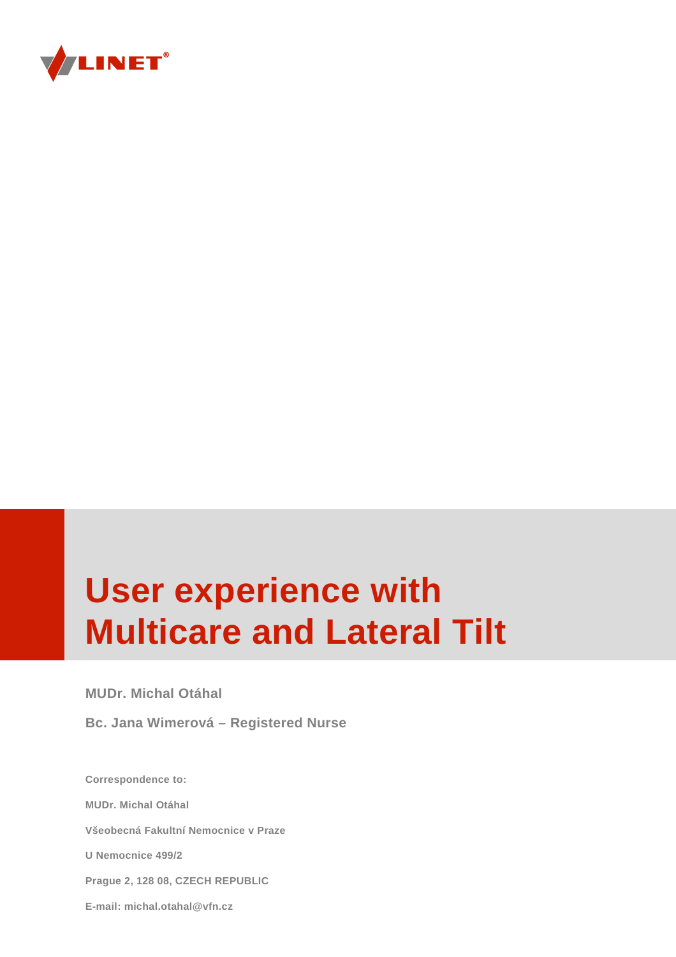

# **User experience with Multicare and Lateral Tilt**

**MUDr. Michal Otáhal**

**Bc. Jana Wimerová – Registered Nurse** 

**Correspondence to: MUDr. Michal Otáhal Všeobecná Fakultní Nemocnice v Praze U Nemocnice 499/2 Prague 2, 128 08, CZECH REPUBLIC E-mail: michal.otahal@vfn.cz**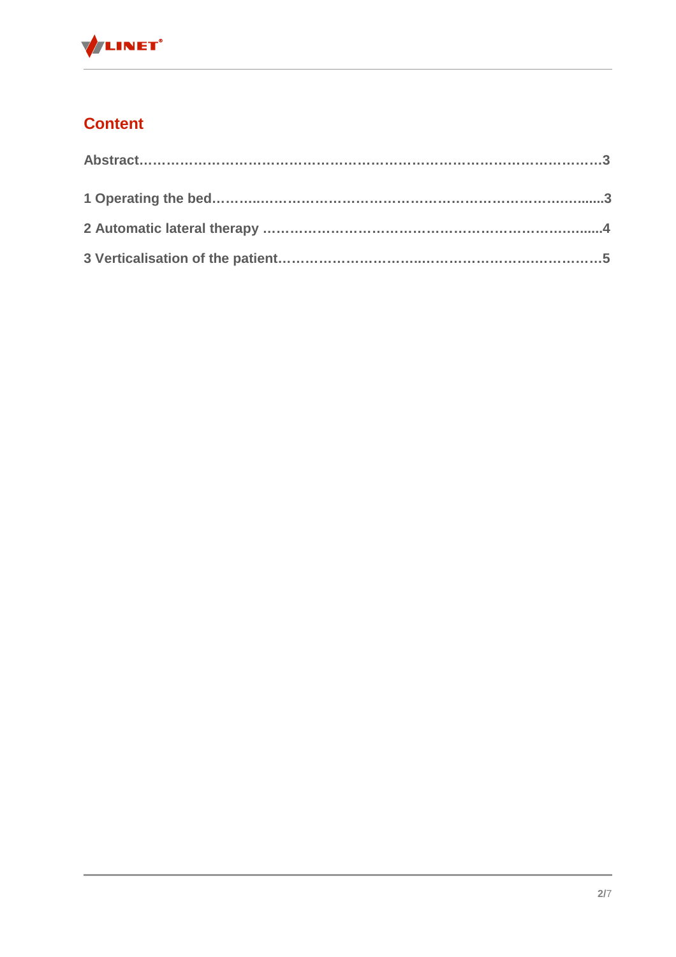

# **Content**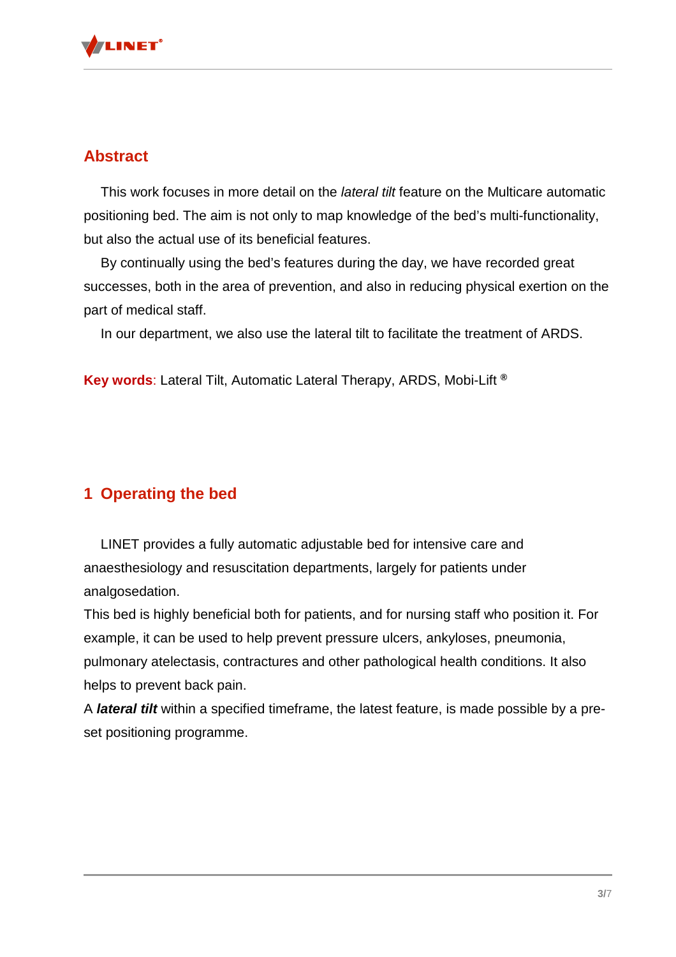

### **Abstract**

This work focuses in more detail on the *lateral tilt* feature on the Multicare automatic positioning bed. The aim is not only to map knowledge of the bed's multi-functionality, but also the actual use of its beneficial features.

By continually using the bed's features during the day, we have recorded great successes, both in the area of prevention, and also in reducing physical exertion on the part of medical staff.

In our department, we also use the lateral tilt to facilitate the treatment of ARDS.

**Key words**: Lateral Tilt, Automatic Lateral Therapy, ARDS, Mobi-Lift **®**

# **1 Operating the bed**

LINET provides a fully automatic adjustable bed for intensive care and anaesthesiology and resuscitation departments, largely for patients under analgosedation.

This bed is highly beneficial both for patients, and for nursing staff who position it. For example, it can be used to help prevent pressure ulcers, ankyloses, pneumonia, pulmonary atelectasis, contractures and other pathological health conditions. It also helps to prevent back pain.

A **lateral tilt** within a specified timeframe, the latest feature, is made possible by a preset positioning programme.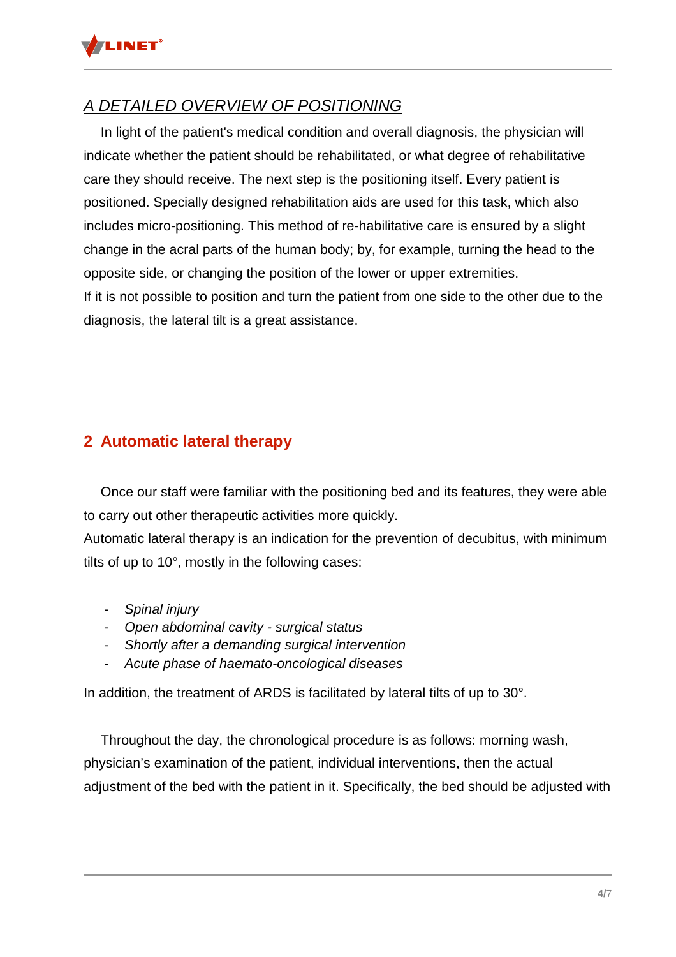

# A DETAILED OVERVIEW OF POSITIONING

In light of the patient's medical condition and overall diagnosis, the physician will indicate whether the patient should be rehabilitated, or what degree of rehabilitative care they should receive. The next step is the positioning itself. Every patient is positioned. Specially designed rehabilitation aids are used for this task, which also includes micro-positioning. This method of re-habilitative care is ensured by a slight change in the acral parts of the human body; by, for example, turning the head to the opposite side, or changing the position of the lower or upper extremities. If it is not possible to position and turn the patient from one side to the other due to the diagnosis, the lateral tilt is a great assistance.

# **2 Automatic lateral therapy**

Once our staff were familiar with the positioning bed and its features, they were able to carry out other therapeutic activities more quickly.

Automatic lateral therapy is an indication for the prevention of decubitus, with minimum tilts of up to 10°, mostly in the following cases:

- Spinal injury
- Open abdominal cavity surgical status
- Shortly after a demanding surgical intervention
- Acute phase of haemato-oncological diseases

In addition, the treatment of ARDS is facilitated by lateral tilts of up to 30°.

 Throughout the day, the chronological procedure is as follows: morning wash, physician's examination of the patient, individual interventions, then the actual adjustment of the bed with the patient in it. Specifically, the bed should be adjusted with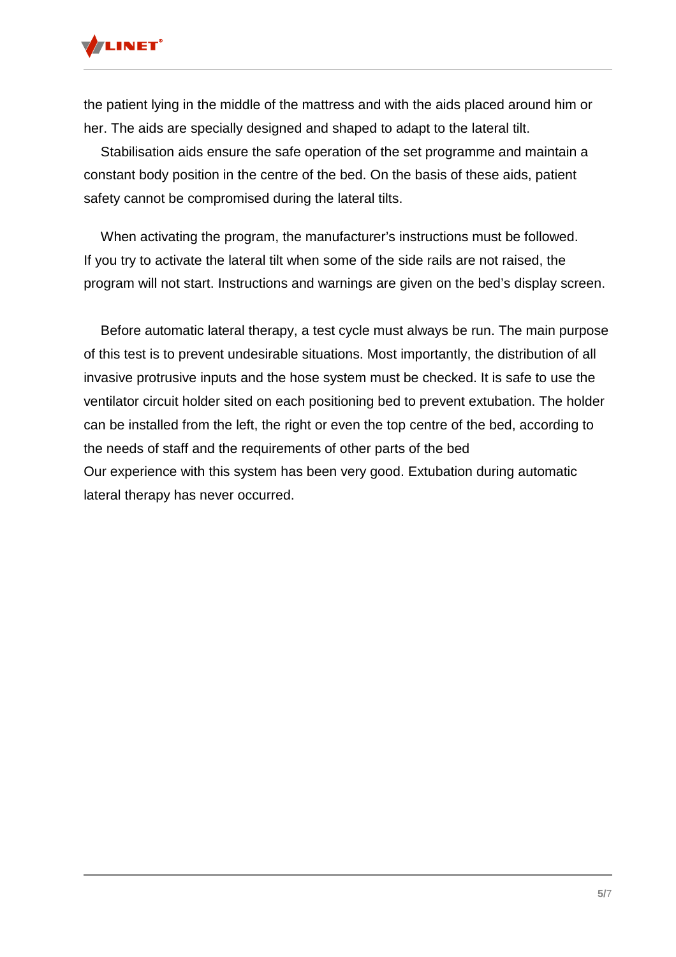

the patient lying in the middle of the mattress and with the aids placed around him or her. The aids are specially designed and shaped to adapt to the lateral tilt.

Stabilisation aids ensure the safe operation of the set programme and maintain a constant body position in the centre of the bed. On the basis of these aids, patient safety cannot be compromised during the lateral tilts.

When activating the program, the manufacturer's instructions must be followed. If you try to activate the lateral tilt when some of the side rails are not raised, the program will not start. Instructions and warnings are given on the bed's display screen.

Before automatic lateral therapy, a test cycle must always be run. The main purpose of this test is to prevent undesirable situations. Most importantly, the distribution of all invasive protrusive inputs and the hose system must be checked. It is safe to use the ventilator circuit holder sited on each positioning bed to prevent extubation. The holder can be installed from the left, the right or even the top centre of the bed, according to the needs of staff and the requirements of other parts of the bed Our experience with this system has been very good. Extubation during automatic lateral therapy has never occurred.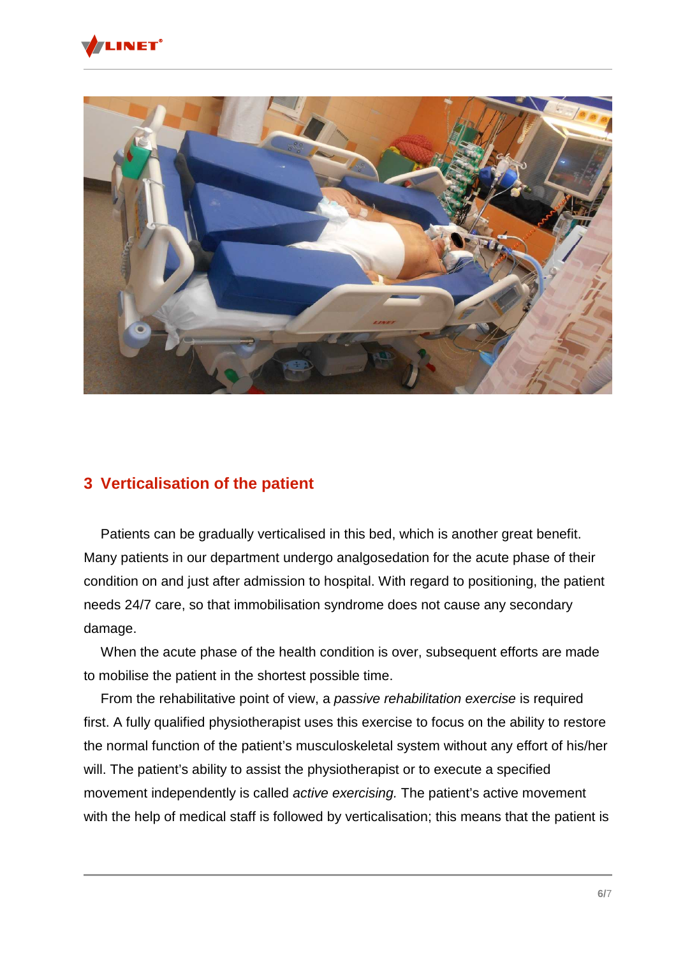



### **3 Verticalisation of the patient**

Patients can be gradually verticalised in this bed, which is another great benefit. Many patients in our department undergo analgosedation for the acute phase of their condition on and just after admission to hospital. With regard to positioning, the patient needs 24/7 care, so that immobilisation syndrome does not cause any secondary damage.

When the acute phase of the health condition is over, subsequent efforts are made to mobilise the patient in the shortest possible time.

From the rehabilitative point of view, a passive rehabilitation exercise is required first. A fully qualified physiotherapist uses this exercise to focus on the ability to restore the normal function of the patient's musculoskeletal system without any effort of his/her will. The patient's ability to assist the physiotherapist or to execute a specified movement independently is called *active exercising*. The patient's active movement with the help of medical staff is followed by verticalisation; this means that the patient is